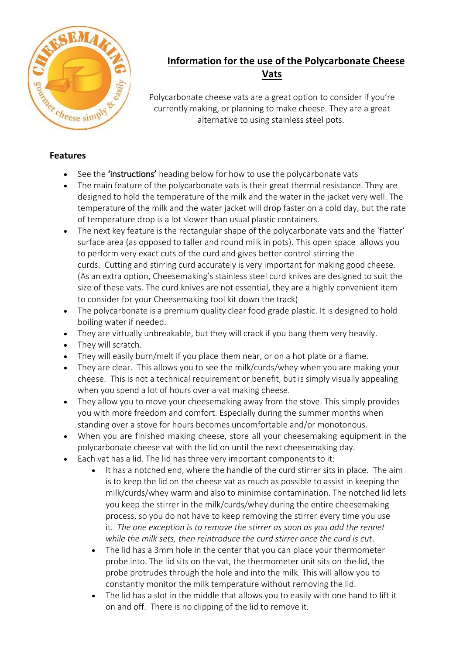

# **Information for the use of the Polycarbonate Cheese Vats**

Polycarbonate cheese vats are a great option to consider if you're currently making, or planning to make cheese. They are a great alternative to using stainless steel pots.

## **Features**

- See the **'instructions'** heading below for how to use the polycarbonate vats
- The main feature of the polycarbonate vats is their great thermal resistance. They are designed to hold the temperature of the milk and the water in the jacket very well. The temperature of the milk and the water jacket will drop faster on a cold day, but the rate of temperature drop is a lot slower than usual plastic containers.
- The next key feature is the rectangular shape of the polycarbonate vats and the 'flatter' surface area (as opposed to taller and round milk in pots). This open space allows you to perform very exact cuts of the curd and gives better control stirring the curds. Cutting and stirring curd accurately is very important for making good cheese. (As an extra option, Cheesemaking's stainless steel curd knives are designed to suit the size of these vats. The curd knives are not essential, they are a highly convenient item to consider for your Cheesemaking tool kit down the track)
- The polycarbonate is a premium quality clear food grade plastic. It is designed to hold boiling water if needed.
- They are virtually unbreakable, but they will crack if you bang them very heavily.
- They will scratch.
- They will easily burn/melt if you place them near, or on a hot plate or a flame.
- They are clear. This allows you to see the milk/curds/whey when you are making your cheese. This is not a technical requirement or benefit, but is simply visually appealing when you spend a lot of hours over a vat making cheese.
- They allow you to move your cheesemaking away from the stove. This simply provides you with more freedom and comfort. Especially during the summer months when standing over a stove for hours becomes uncomfortable and/or monotonous.
- When you are finished making cheese, store all your cheesemaking equipment in the polycarbonate cheese vat with the lid on until the next cheesemaking day.
- Each vat has a lid. The lid has three very important components to it:
	- It has a notched end, where the handle of the curd stirrer sits in place. The aim is to keep the lid on the cheese vat as much as possible to assist in keeping the milk/curds/whey warm and also to minimise contamination. The notched lid lets you keep the stirrer in the milk/curds/whey during the entire cheesemaking process, so you do not have to keep removing the stirrer every time you use it. *The one exception is to remove the stirrer as soon as you add the rennet while the milk sets, then reintroduce the curd stirrer once the curd is cut*.
	- The lid has a 3mm hole in the center that you can place your thermometer probe into. The lid sits on the vat, the thermometer unit sits on the lid, the probe protrudes through the hole and into the milk. This will allow you to constantly monitor the milk temperature without removing the lid.
	- The lid has a slot in the middle that allows you to easily with one hand to lift it on and off. There is no clipping of the lid to remove it.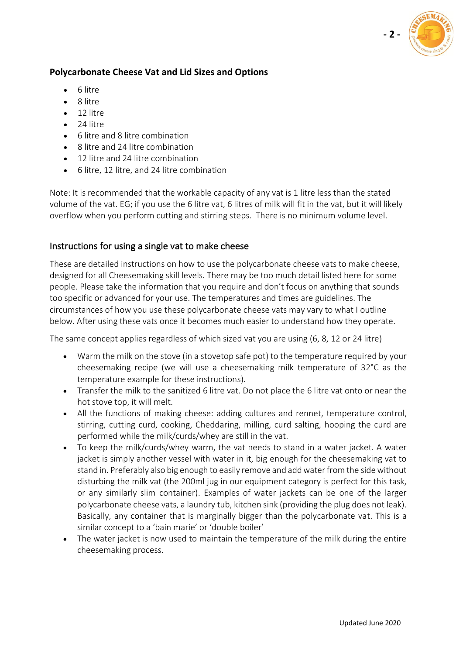

## **Polycarbonate Cheese Vat and Lid Sizes and Options**

- 6 litre
- 8 litre
- 12 litre
- 24 litre
- 6 litre and 8 litre combination
- 8 litre and 24 litre combination
- 12 litre and 24 litre combination
- 6 litre, 12 litre, and 24 litre combination

Note: It is recommended that the workable capacity of any vat is 1 litre less than the stated volume of the vat. EG; if you use the 6 litre vat, 6 litres of milk will fit in the vat, but it will likely overflow when you perform cutting and stirring steps. There is no minimum volume level.

#### Instructions for using a single vat to make cheese

These are detailed instructions on how to use the polycarbonate cheese vats to make cheese, designed for all Cheesemaking skill levels. There may be too much detail listed here for some people. Please take the information that you require and don't focus on anything that sounds too specific or advanced for your use. The temperatures and times are guidelines. The circumstances of how you use these polycarbonate cheese vats may vary to what I outline below. After using these vats once it becomes much easier to understand how they operate.

The same concept applies regardless of which sized vat you are using (6, 8, 12 or 24 litre)

- Warm the milk on the stove (in a stovetop safe pot) to the temperature required by your cheesemaking recipe (we will use a cheesemaking milk temperature of 32°C as the temperature example for these instructions).
- Transfer the milk to the sanitized 6 litre vat. Do not place the 6 litre vat onto or near the hot stove top, it will melt.
- All the functions of making cheese: adding cultures and rennet, temperature control, stirring, cutting curd, cooking, Cheddaring, milling, curd salting, hooping the curd are performed while the milk/curds/whey are still in the vat.
- To keep the milk/curds/whey warm, the vat needs to stand in a water jacket. A water jacket is simply another vessel with water in it, big enough for the cheesemaking vat to stand in. Preferably also big enough to easily remove and add water from the side without disturbing the milk vat (the 200ml jug in our equipment category is perfect for this task, or any similarly slim container). Examples of water jackets can be one of the larger polycarbonate cheese vats, a laundry tub, kitchen sink (providing the plug does not leak). Basically, any container that is marginally bigger than the polycarbonate vat. This is a similar concept to a 'bain marie' or 'double boiler'
- The water jacket is now used to maintain the temperature of the milk during the entire cheesemaking process.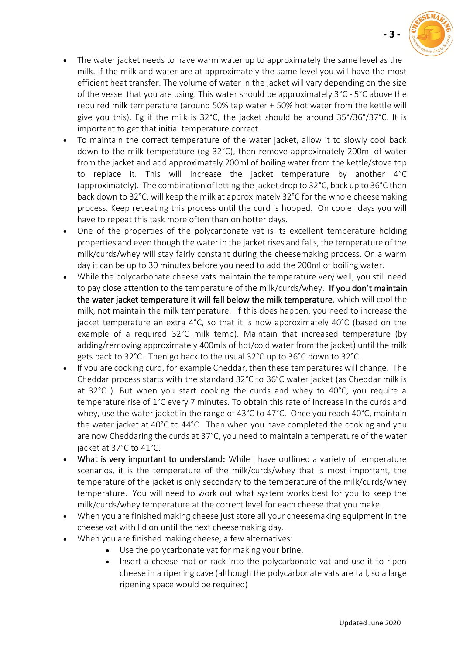

**- 3 -**

- The water jacket needs to have warm water up to approximately the same level as the milk. If the milk and water are at approximately the same level you will have the most efficient heat transfer. The volume of water in the jacket will vary depending on the size of the vessel that you are using. This water should be approximately 3°C - 5°C above the required milk temperature (around 50% tap water + 50% hot water from the kettle will give you this). Eg if the milk is  $32^{\circ}$ C, the jacket should be around  $35^{\circ}/36^{\circ}/37^{\circ}$ C. It is important to get that initial temperature correct.
- To maintain the correct temperature of the water jacket, allow it to slowly cool back down to the milk temperature (eg 32°C), then remove approximately 200ml of water from the jacket and add approximately 200ml of boiling water from the kettle/stove top to replace it. This will increase the jacket temperature by another 4°C (approximately). The combination of letting the jacket drop to 32°C, back up to 36°C then back down to 32°C, will keep the milk at approximately 32°C for the whole cheesemaking process. Keep repeating this process until the curd is hooped. On cooler days you will have to repeat this task more often than on hotter days.
- One of the properties of the polycarbonate vat is its excellent temperature holding properties and even though the water in the jacket rises and falls, the temperature of the milk/curds/whey will stay fairly constant during the cheesemaking process. On a warm day it can be up to 30 minutes before you need to add the 200ml of boiling water.
- While the polycarbonate cheese vats maintain the temperature very well, you still need to pay close attention to the temperature of the milk/curds/whey. If you don't maintain the water jacket temperature it will fall below the milk temperature, which will cool the milk, not maintain the milk temperature. If this does happen, you need to increase the jacket temperature an extra 4°C, so that it is now approximately 40°C (based on the example of a required 32°C milk temp). Maintain that increased temperature (by adding/removing approximately 400mls of hot/cold water from the jacket) until the milk gets back to 32°C. Then go back to the usual 32°C up to 36°C down to 32°C.
- If you are cooking curd, for example Cheddar, then these temperatures will change. The Cheddar process starts with the standard 32°C to 36°C water jacket (as Cheddar milk is at 32°C ). But when you start cooking the curds and whey to 40°C, you require a temperature rise of 1°C every 7 minutes. To obtain this rate of increase in the curds and whey, use the water jacket in the range of 43°C to 47°C. Once you reach 40°C, maintain the water jacket at 40°C to 44°C Then when you have completed the cooking and you are now Cheddaring the curds at 37°C, you need to maintain a temperature of the water jacket at 37°C to 41°C.
- What is very important to understand: While I have outlined a variety of temperature scenarios, it is the temperature of the milk/curds/whey that is most important, the temperature of the jacket is only secondary to the temperature of the milk/curds/whey temperature. You will need to work out what system works best for you to keep the milk/curds/whey temperature at the correct level for each cheese that you make.
- When you are finished making cheese just store all your cheesemaking equipment in the cheese vat with lid on until the next cheesemaking day.
- When you are finished making cheese, a few alternatives:
	- Use the polycarbonate vat for making your brine,
	- Insert a cheese mat or rack into the polycarbonate vat and use it to ripen cheese in a ripening cave (although the polycarbonate vats are tall, so a large ripening space would be required)